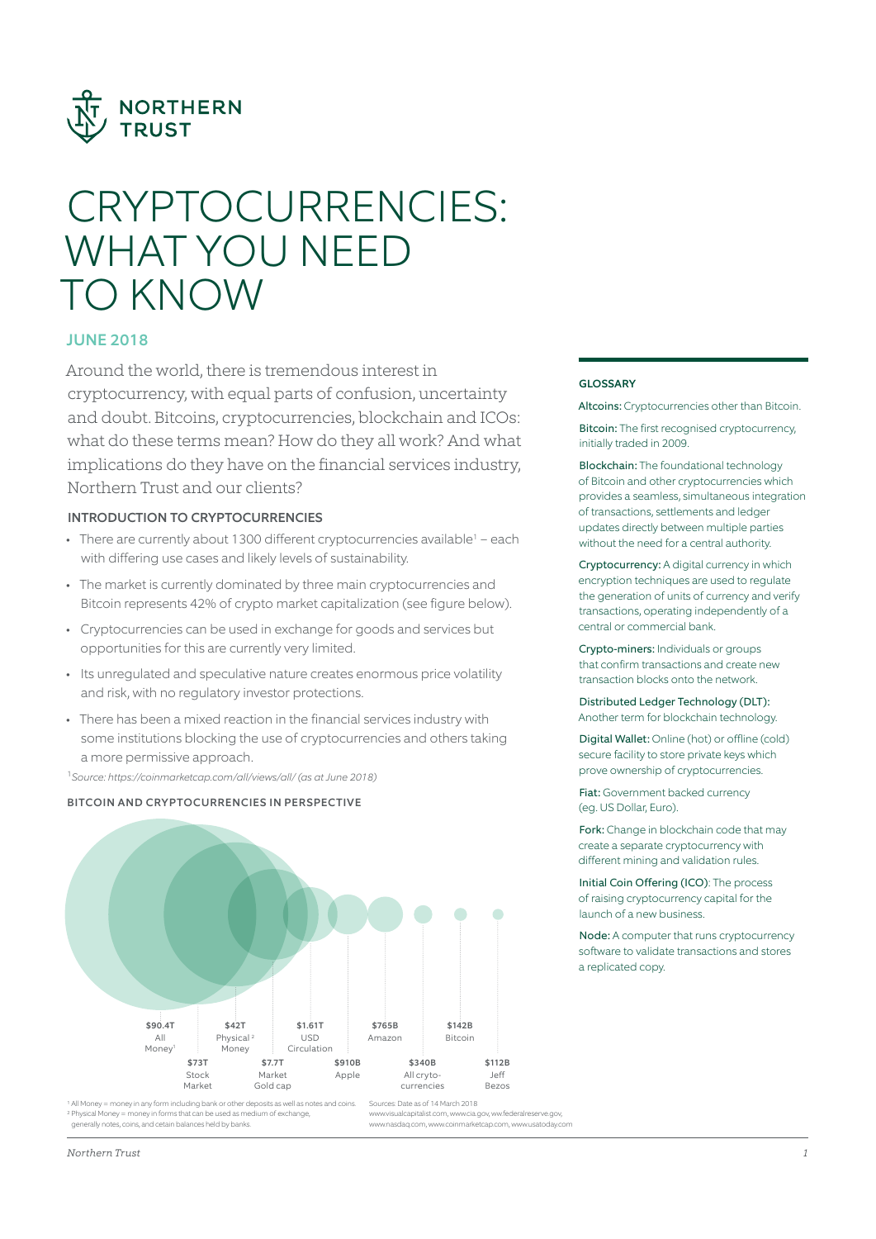

# CRYPTOCURRENCIES: WHAT YOU NFFD TO KNOW

### JUNE 2018

Around the world, there is tremendous interest in cryptocurrency, with equal parts of confusion, uncertainty and doubt. Bitcoins, cryptocurrencies, blockchain and ICOs: what do these terms mean? How do they all work? And what implications do they have on the financial services industry, Northern Trust and our clients?

#### INTRODUCTION TO CRYPTOCURRENCIES

- There are currently about 1300 different cryptocurrencies available<sup>1</sup> each with differing use cases and likely levels of sustainability.
- The market is currently dominated by three main cryptocurrencies and Bitcoin represents 42% of crypto market capitalization (see figure below).
- Cryptocurrencies can be used in exchange for goods and services but opportunities for this are currently very limited.
- Its unregulated and speculative nature creates enormous price volatility and risk, with no regulatory investor protections.
- There has been a mixed reaction in the financial services industry with some institutions blocking the use of cryptocurrencies and others taking a more permissive approach.

1 *Source: https://coinmarketcap.com/all/views/all/ (as at June 2018)*

#### BITCOIN AND CRYPTOCURRENCIES IN PERSPECTIVE



Sources: Date as of 14 March 2018 www.visualcapitalist.com, www.cia.gov, ww.federalreserve.gov, www.nasdaq.com, www.coinmarketcap.com, www.usatoday.com 1 All Money = money in any form including bank or other deposits as well as notes and coins 2 Physical Money = money in forms that can be used as medium of exchange, generally notes, coins, and cetain balances held by banks.

#### GLOSSARY

Altcoins: Cryptocurrencies other than Bitcoin.

Bitcoin: The first recognised cryptocurrency, initially traded in 2009.

Blockchain: The foundational technology of Bitcoin and other cryptocurrencies which provides a seamless, simultaneous integration of transactions, settlements and ledger updates directly between multiple parties without the need for a central authority.

Cryptocurrency: A digital currency in which encryption techniques are used to regulate the generation of units of currency and verify transactions, operating independently of a central or commercial bank.

Crypto-miners: Individuals or groups that confirm transactions and create new transaction blocks onto the network.

Distributed Ledger Technology (DLT): Another term for blockchain technology.

Digital Wallet: Online (hot) or offline (cold) secure facility to store private keys which prove ownership of cryptocurrencies.

Fiat: Government backed currency (eg. US Dollar, Euro).

Fork: Change in blockchain code that may create a separate cryptocurrency with different mining and validation rules.

Initial Coin Offering (ICO): The process of raising cryptocurrency capital for the launch of a new business.

Node: A computer that runs cryptocurrency software to validate transactions and stores a replicated copy.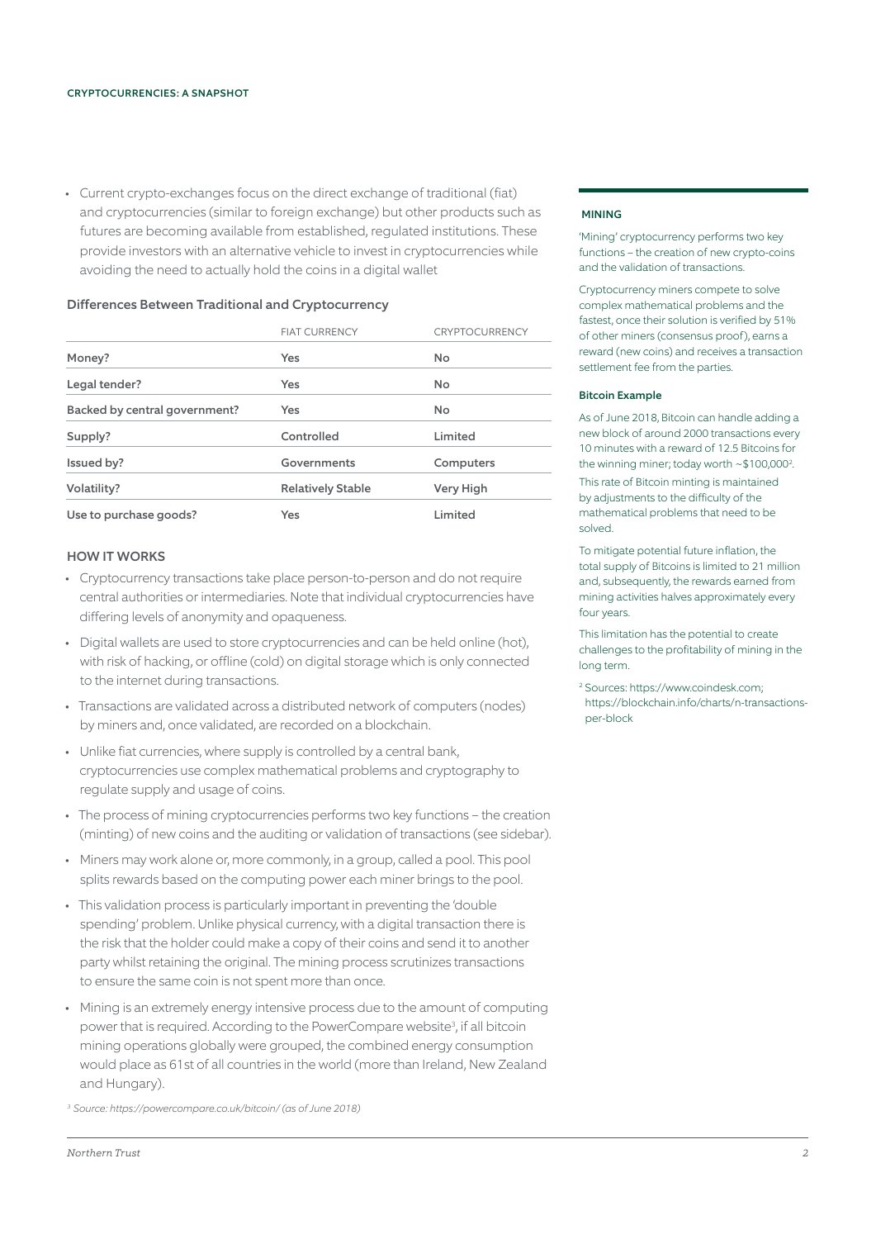• Current crypto-exchanges focus on the direct exchange of traditional (fiat) and cryptocurrencies (similar to foreign exchange) but other products such as futures are becoming available from established, regulated institutions. These provide investors with an alternative vehicle to invest in cryptocurrencies while avoiding the need to actually hold the coins in a digital wallet

#### Differences Between Traditional and Cryptocurrency

|                               | <b>FIAT CURRENCY</b>     | <b>CRYPTOCURRENCY</b> |
|-------------------------------|--------------------------|-----------------------|
| Money?                        | Yes                      | <b>No</b>             |
| Legal tender?                 | Yes                      | <b>No</b>             |
| Backed by central government? | Yes                      | <b>No</b>             |
| Supply?                       | Controlled               | Limited               |
| Issued by?                    | Governments              | Computers             |
| Volatility?                   | <b>Relatively Stable</b> | Very High             |
| Use to purchase goods?        | Yes                      | Limited               |

#### HOW IT WORKS

- Cryptocurrency transactions take place person-to-person and do not require central authorities or intermediaries. Note that individual cryptocurrencies have differing levels of anonymity and opaqueness.
- Digital wallets are used to store cryptocurrencies and can be held online (hot), with risk of hacking, or offline (cold) on digital storage which is only connected to the internet during transactions.
- Transactions are validated across a distributed network of computers (nodes) by miners and, once validated, are recorded on a blockchain.
- Unlike fiat currencies, where supply is controlled by a central bank, cryptocurrencies use complex mathematical problems and cryptography to regulate supply and usage of coins.
- The process of mining cryptocurrencies performs two key functions the creation (minting) of new coins and the auditing or validation of transactions (see sidebar).
- Miners may work alone or, more commonly, in a group, called a pool. This pool splits rewards based on the computing power each miner brings to the pool.
- This validation process is particularly important in preventing the 'double spending' problem. Unlike physical currency, with a digital transaction there is the risk that the holder could make a copy of their coins and send it to another party whilst retaining the original. The mining process scrutinizes transactions to ensure the same coin is not spent more than once.
- Mining is an extremely energy intensive process due to the amount of computing power that is required. According to the PowerCompare website<sup>3</sup>, if all bitcoin mining operations globally were grouped, the combined energy consumption would place as 61st of all countries in the world (more than Ireland, New Zealand and Hungary).

*<sup>3</sup> Source: https://powercompare.co.uk/bitcoin/ (as of June 2018)*

#### MINING

'Mining' cryptocurrency performs two key functions – the creation of new crypto-coins and the validation of transactions.

Cryptocurrency miners compete to solve complex mathematical problems and the fastest, once their solution is verified by 51% of other miners (consensus proof), earns a reward (new coins) and receives a transaction settlement fee from the parties.

#### Bitcoin Example

As of June 2018, Bitcoin can handle adding a new block of around 2000 transactions every 10 minutes with a reward of 12.5 Bitcoins for the winning miner; today worth  $\sim$ \$100,000<sup>2</sup>.

This rate of Bitcoin minting is maintained by adjustments to the difficulty of the mathematical problems that need to be solved.

To mitigate potential future inflation, the total supply of Bitcoins is limited to 21 million and, subsequently, the rewards earned from mining activities halves approximately every four years.

This limitation has the potential to create challenges to the profitability of mining in the long term.

<sup>2</sup> Sources: https://www.coindesk.com; https://blockchain.info/charts/n-transactionsper-block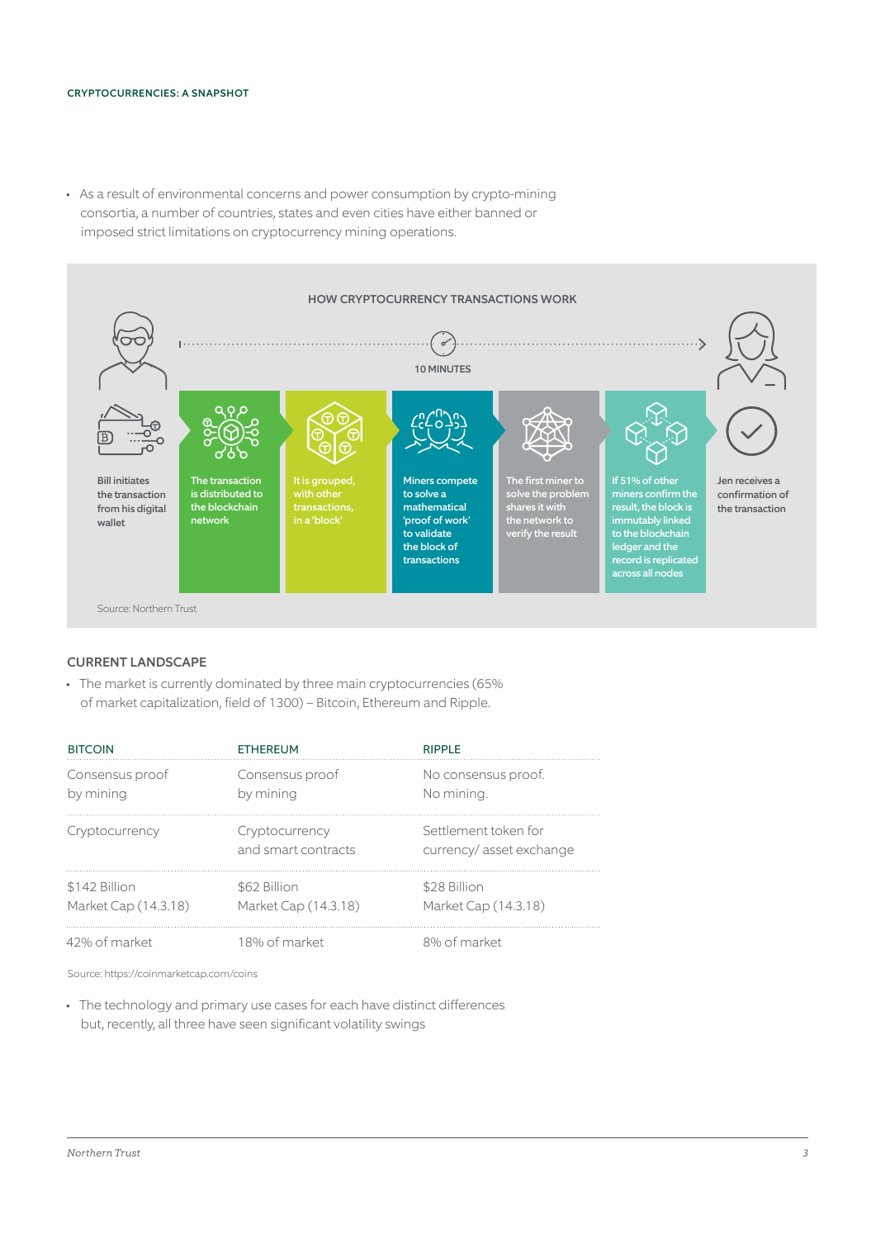#### CRYPTOCURRENCIES: A SNAPSHOT

• As a result of environmental concerns and power consumption by crypto-mining consortia, a number of countries, states and even cities have either banned or imposed strict limitations on cryptocurrency mining operations.



#### CURRENT LANDSCAPE

• The market is currently dominated by three main cryptocurrencies (65% of market capitalization, field of 1300) – Bitcoin, Ethereum and Ripple.

| <b>BITCOIN</b>                        | <b>FTHFRFUM</b>                       | RIPPI F                                         |
|---------------------------------------|---------------------------------------|-------------------------------------------------|
| Consensus proof<br>by mining          | Consensus proof<br>by mining          | No consensus proof.<br>No mining.               |
| Cryptocurrency                        | Cryptocurrency<br>and smart contracts | Settlement token for<br>currency/asset exchange |
| \$142 Billion<br>Market Cap (14.3.18) | \$62 Billion<br>Market Cap (14.3.18)  | \$28 Billion<br>Market Cap (14.3.18)            |
| 42% of market                         | 18% of market                         | 8% of market                                    |

Source: https://coinmarketcap.com/coins

• The technology and primary use cases for each have distinct differences but, recently, all three have seen significant volatility swings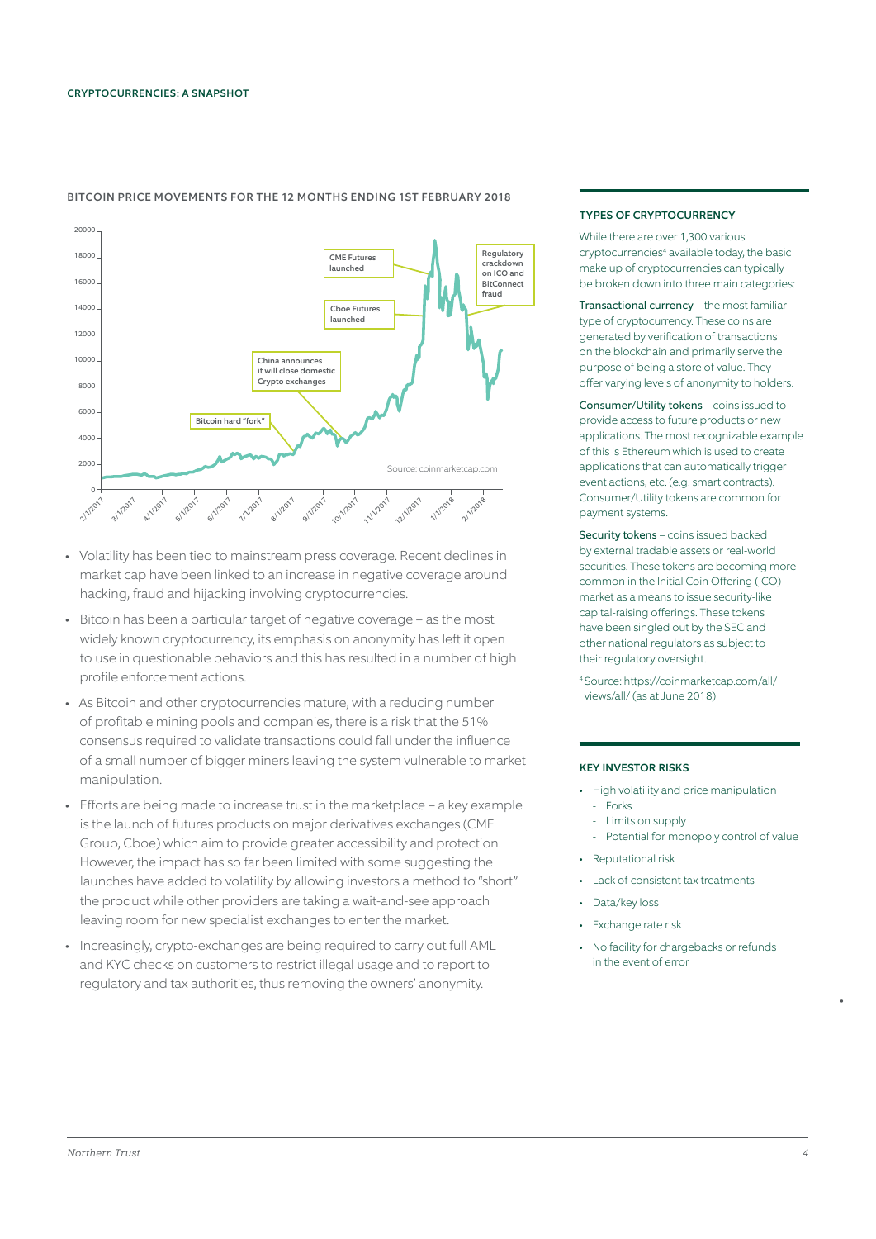

#### BITCOIN PRICE MOVEMENTS FOR THE 12 MONTHS ENDING 1ST FEBRUARY 2018

- Volatility has been tied to mainstream press coverage. Recent declines in market cap have been linked to an increase in negative coverage around hacking, fraud and hijacking involving cryptocurrencies.
- Bitcoin has been a particular target of negative coverage as the most widely known cryptocurrency, its emphasis on anonymity has left it open to use in questionable behaviors and this has resulted in a number of high profile enforcement actions.
- As Bitcoin and other cryptocurrencies mature, with a reducing number of profitable mining pools and companies, there is a risk that the 51% consensus required to validate transactions could fall under the influence of a small number of bigger miners leaving the system vulnerable to market manipulation.
- Efforts are being made to increase trust in the marketplace a key example is the launch of futures products on major derivatives exchanges (CME Group, Cboe) which aim to provide greater accessibility and protection. However, the impact has so far been limited with some suggesting the launches have added to volatility by allowing investors a method to "short" the product while other providers are taking a wait-and-see approach leaving room for new specialist exchanges to enter the market.
- Increasingly, crypto-exchanges are being required to carry out full AML and KYC checks on customers to restrict illegal usage and to report to regulatory and tax authorities, thus removing the owners' anonymity.

#### TYPES OF CRYPTOCURRENCY

While there are over 1,300 various cryptocurrencies<sup>4</sup> available today, the basic make up of cryptocurrencies can typically be broken down into three main categories:

Transactional currency – the most familiar type of cryptocurrency. These coins are generated by verification of transactions on the blockchain and primarily serve the purpose of being a store of value. They offer varying levels of anonymity to holders.

Consumer/Utility tokens – coins issued to provide access to future products or new applications. The most recognizable example of this is Ethereum which is used to create applications that can automatically trigger event actions, etc. (e.g. smart contracts). Consumer/Utility tokens are common for payment systems.

Security tokens - coins issued backed by external tradable assets or real-world securities. These tokens are becoming more common in the Initial Coin Offering (ICO) market as a means to issue security-like capital-raising offerings. These tokens have been singled out by the SEC and other national regulators as subject to their regulatory oversight.

4 Source: https://coinmarketcap.com/all/ views/all/ (as at June 2018)

#### KEY INVESTOR RISKS

- High volatility and price manipulation
- Forks
- Limits on supply
- Potential for monopoly control of value
- Reputational risk
- Lack of consistent tax treatments
- Data/key loss
- Exchange rate risk
- No facility for chargebacks or refunds in the event of error

•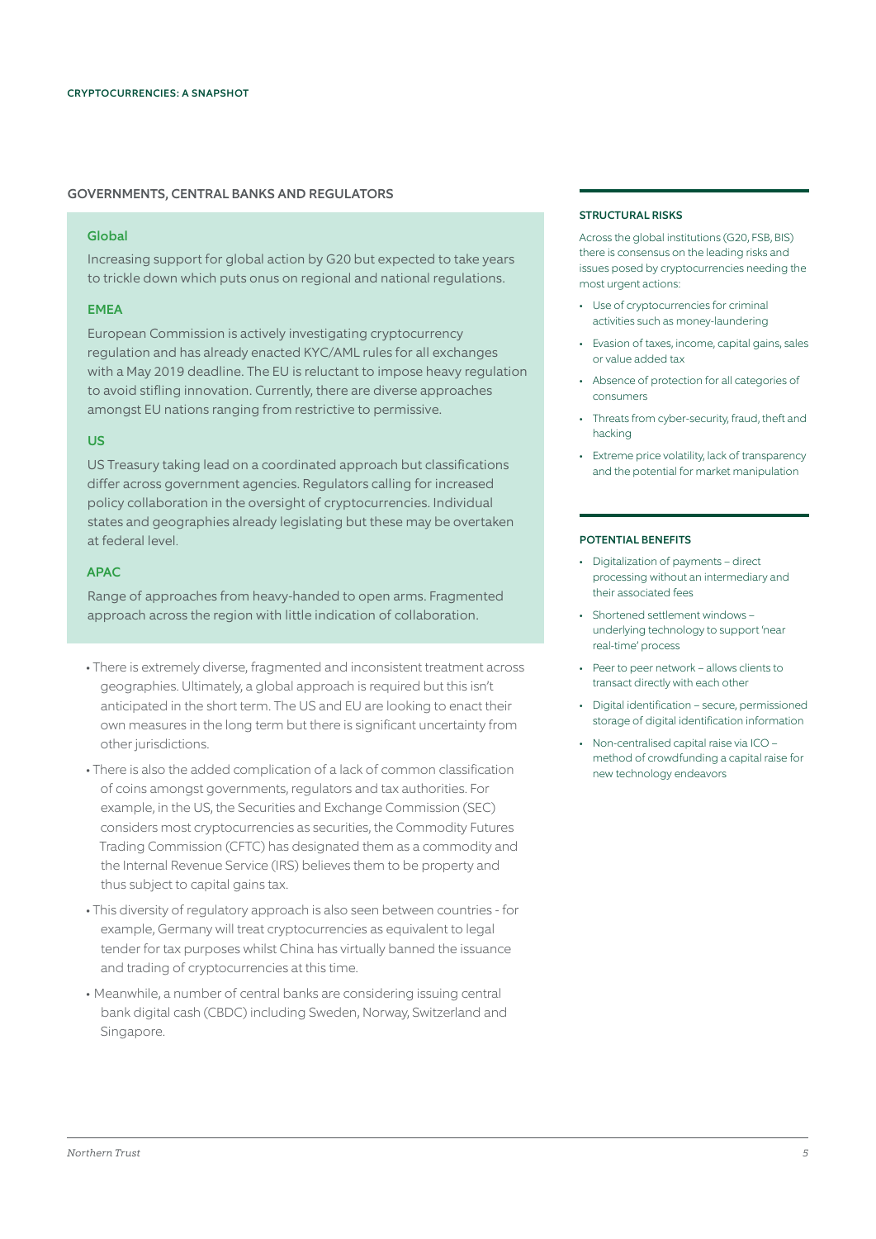#### GOVERNMENTS, CENTRAL BANKS AND REGULATORS

#### Global

Increasing support for global action by G20 but expected to take years to trickle down which puts onus on regional and national regulations.

#### EMEA

European Commission is actively investigating cryptocurrency regulation and has already enacted KYC/AML rules for all exchanges with a May 2019 deadline. The EU is reluctant to impose heavy regulation to avoid stifling innovation. Currently, there are diverse approaches amongst EU nations ranging from restrictive to permissive.

#### US

US Treasury taking lead on a coordinated approach but classifications differ across government agencies. Regulators calling for increased policy collaboration in the oversight of cryptocurrencies. Individual states and geographies already legislating but these may be overtaken at federal level.

### APAC

Range of approaches from heavy-handed to open arms. Fragmented approach across the region with little indication of collaboration.

- There is extremely diverse, fragmented and inconsistent treatment across geographies. Ultimately, a global approach is required but this isn't anticipated in the short term. The US and EU are looking to enact their own measures in the long term but there is significant uncertainty from other jurisdictions.
- There is also the added complication of a lack of common classification of coins amongst governments, regulators and tax authorities. For example, in the US, the Securities and Exchange Commission (SEC) considers most cryptocurrencies as securities, the Commodity Futures Trading Commission (CFTC) has designated them as a commodity and the Internal Revenue Service (IRS) believes them to be property and thus subject to capital gains tax.
- This diversity of regulatory approach is also seen between countries for example, Germany will treat cryptocurrencies as equivalent to legal tender for tax purposes whilst China has virtually banned the issuance and trading of cryptocurrencies at this time.
- Meanwhile, a number of central banks are considering issuing central bank digital cash (CBDC) including Sweden, Norway, Switzerland and Singapore.

#### STRUCTURAL RISKS

Across the global institutions (G20, FSB, BIS) there is consensus on the leading risks and issues posed by cryptocurrencies needing the most urgent actions:

- Use of cryptocurrencies for criminal activities such as money-laundering
- Evasion of taxes, income, capital gains, sales or value added tax
- Absence of protection for all categories of consumers
- Threats from cyber-security, fraud, theft and hacking
- Extreme price volatility, lack of transparency and the potential for market manipulation

#### POTENTIAL BENEFITS

- Digitalization of payments direct processing without an intermediary and their associated fees
- Shortened settlement windows underlying technology to support 'near real-time' process
- Peer to peer network allows clients to transact directly with each other
- Digital identification secure, permissioned storage of digital identification information
- Non-centralised capital raise via ICO method of crowdfunding a capital raise for new technology endeavors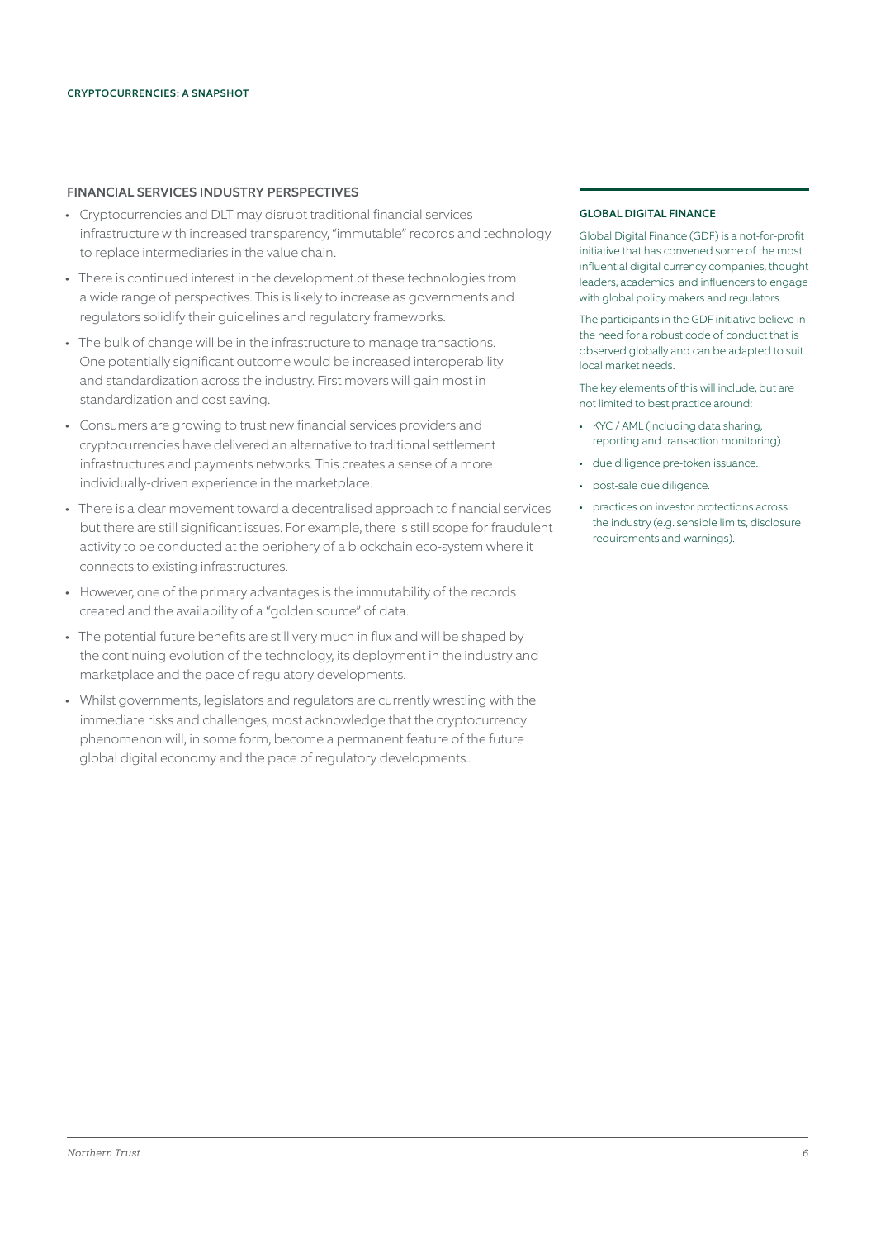#### FINANCIAL SERVICES INDUSTRY PERSPECTIVES

- Cryptocurrencies and DLT may disrupt traditional financial services infrastructure with increased transparency, "immutable" records and technology to replace intermediaries in the value chain.
- There is continued interest in the development of these technologies from a wide range of perspectives. This is likely to increase as governments and regulators solidify their guidelines and regulatory frameworks.
- The bulk of change will be in the infrastructure to manage transactions. One potentially significant outcome would be increased interoperability and standardization across the industry. First movers will gain most in standardization and cost saving.
- Consumers are growing to trust new financial services providers and cryptocurrencies have delivered an alternative to traditional settlement infrastructures and payments networks. This creates a sense of a more individually-driven experience in the marketplace.
- There is a clear movement toward a decentralised approach to financial services but there are still significant issues. For example, there is still scope for fraudulent activity to be conducted at the periphery of a blockchain eco-system where it connects to existing infrastructures.
- However, one of the primary advantages is the immutability of the records created and the availability of a "golden source" of data.
- The potential future benefits are still very much in flux and will be shaped by the continuing evolution of the technology, its deployment in the industry and marketplace and the pace of regulatory developments.
- Whilst governments, legislators and regulators are currently wrestling with the immediate risks and challenges, most acknowledge that the cryptocurrency phenomenon will, in some form, become a permanent feature of the future global digital economy and the pace of regulatory developments..

#### GLOBAL DIGITAL FINANCE

Global Digital Finance (GDF) is a not-for-profit initiative that has convened some of the most influential digital currency companies, thought leaders, academics and influencers to engage with global policy makers and regulators.

The participants in the GDF initiative believe in the need for a robust code of conduct that is observed globally and can be adapted to suit local market needs.

The key elements of this will include, but are not limited to best practice around:

- KYC / AML (including data sharing, reporting and transaction monitoring).
- due diligence pre-token issuance.
- post-sale due diligence.
- practices on investor protections across the industry (e.g. sensible limits, disclosure requirements and warnings).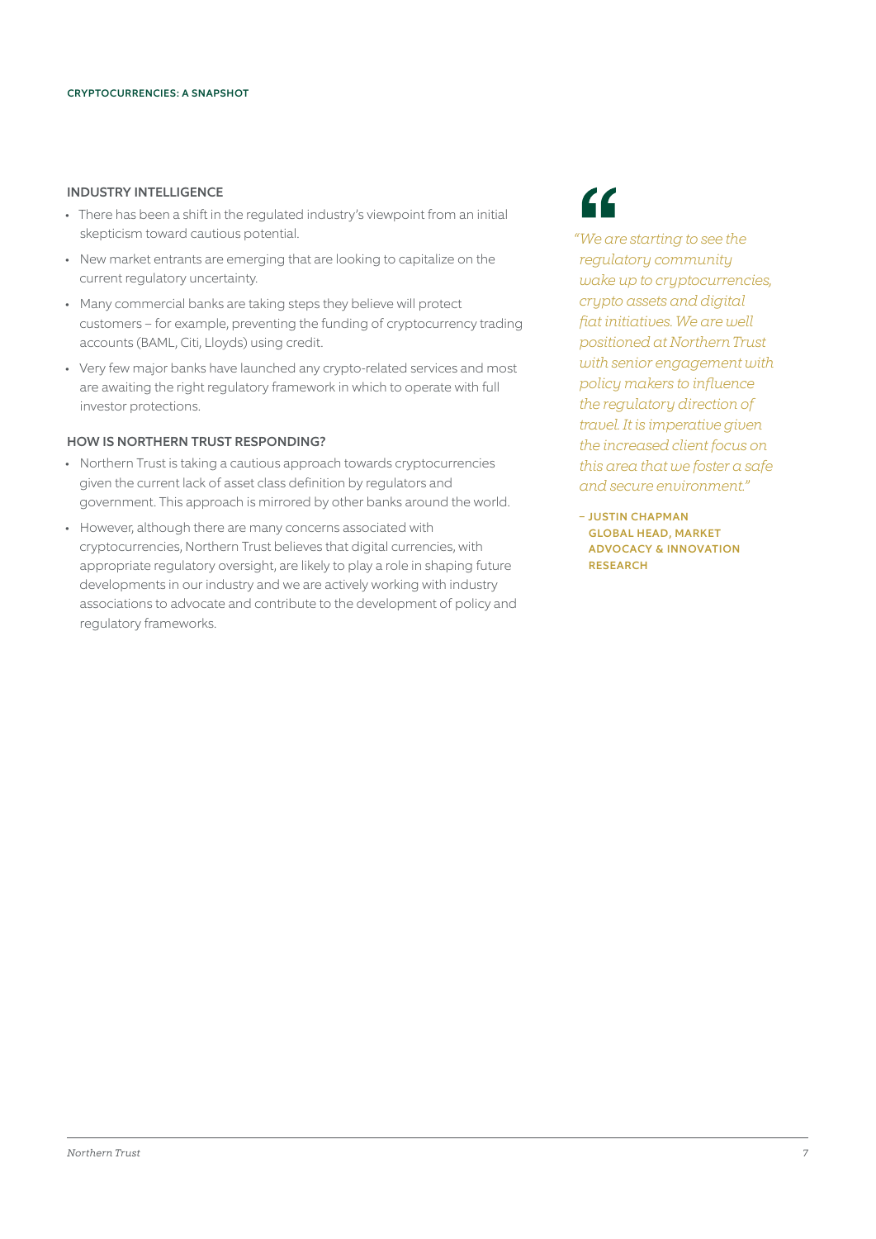#### INDUSTRY INTELLIGENCE

- There has been a shift in the regulated industry's viewpoint from an initial skepticism toward cautious potential.
- New market entrants are emerging that are looking to capitalize on the current regulatory uncertainty.
- Many commercial banks are taking steps they believe will protect customers – for example, preventing the funding of cryptocurrency trading accounts (BAML, Citi, Lloyds) using credit.
- Very few major banks have launched any crypto-related services and most are awaiting the right regulatory framework in which to operate with full investor protections.

#### HOW IS NORTHERN TRUST RESPONDING?

- Northern Trust is taking a cautious approach towards cryptocurrencies given the current lack of asset class definition by regulators and government. This approach is mirrored by other banks around the world.
- However, although there are many concerns associated with cryptocurrencies, Northern Trust believes that digital currencies, with appropriate regulatory oversight, are likely to play a role in shaping future developments in our industry and we are actively working with industry associations to advocate and contribute to the development of policy and regulatory frameworks.

## $\epsilon$

*"We are starting to see the regulatory community wake up to cryptocurrencies, crypto assets and digital fiat initiatives. We are well positioned at Northern Trust with senior engagement with policy makers to influence the regulatory direction of travel. It is imperative given the increased client focus on this area that we foster a safe and secure environment."*

 – JUSTIN CHAPMAN GLOBAL HEAD, MARKET ADVOCACY & INNOVATION RESEARCH